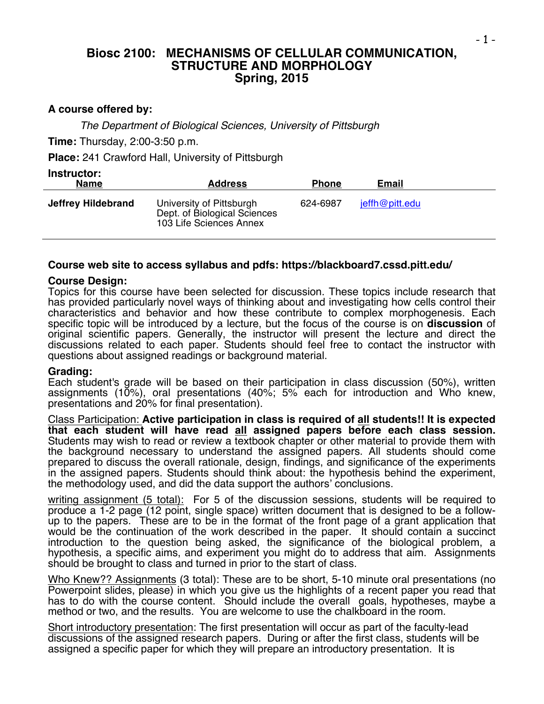## **Biosc 2100: MECHANISMS OF CELLULAR COMMUNICATION, STRUCTURE AND MORPHOLOGY Spring, 2015**

## **A course offered by:**

*The Department of Biological Sciences, University of Pittsburgh*

**Time:** Thursday, 2:00-3:50 p.m.

**Place:** 241 Crawford Hall, University of Pittsburgh

| Instructor:<br><b>Name</b> | <b>Address</b>                                                                      | <b>Phone</b> | Email          |
|----------------------------|-------------------------------------------------------------------------------------|--------------|----------------|
| Jeffrey Hildebrand         | University of Pittsburgh<br>Dept. of Biological Sciences<br>103 Life Sciences Annex | 624-6987     | jeffh@pitt.edu |

#### **Course web site to access syllabus and pdfs: https://blackboard7.cssd.pitt.edu/**

#### **Course Design:**

Topics for this course have been selected for discussion. These topics include research that has provided particularly novel ways of thinking about and investigating how cells control their characteristics and behavior and how these contribute to complex morphogenesis. Each specific topic will be introduced by a lecture, but the focus of the course is on **discussion** of original scientific papers. Generally, the instructor will present the lecture and direct the discussions related to each paper. Students should feel free to contact the instructor with questions about assigned readings or background material.

#### **Grading:**

Each student's grade will be based on their participation in class discussion (50%), written assignments (10%), oral presentations (40%; 5% each for introduction and Who knew, presentations and 20% for final presentation).

Class Participation: **Active participation in class is required of all students!! It is expected that each student will have read all assigned papers before each class session.** Students may wish to read or review a textbook chapter or other material to provide them with the background necessary to understand the assigned papers. All students should come prepared to discuss the overall rationale, design, findings, and significance of the experiments in the assigned papers. Students should think about: the hypothesis behind the experiment, the methodology used, and did the data support the authors' conclusions.

writing assignment (5 total): For 5 of the discussion sessions, students will be required to produce a 1-2 page (12 point, single space) written document that is designed to be a followup to the papers. These are to be in the format of the front page of a grant application that would be the continuation of the work described in the paper. It should contain a succinct introduction to the question being asked, the significance of the biological problem, a hypothesis, a specific aims, and experiment you might do to address that aim. Assignments should be brought to class and turned in prior to the start of class.

Who Knew?? Assignments (3 total): These are to be short, 5-10 minute oral presentations (no Powerpoint slides, please) in which you give us the highlights of a recent paper you read that has to do with the course content. Should include the overall goals, hypotheses, maybe a method or two, and the results. You are welcome to use the chalkboard in the room.

Short introductory presentation: The first presentation will occur as part of the faculty-lead discussions of the assigned research papers. During or after the first class, students will be assigned a specific paper for which they will prepare an introductory presentation. It is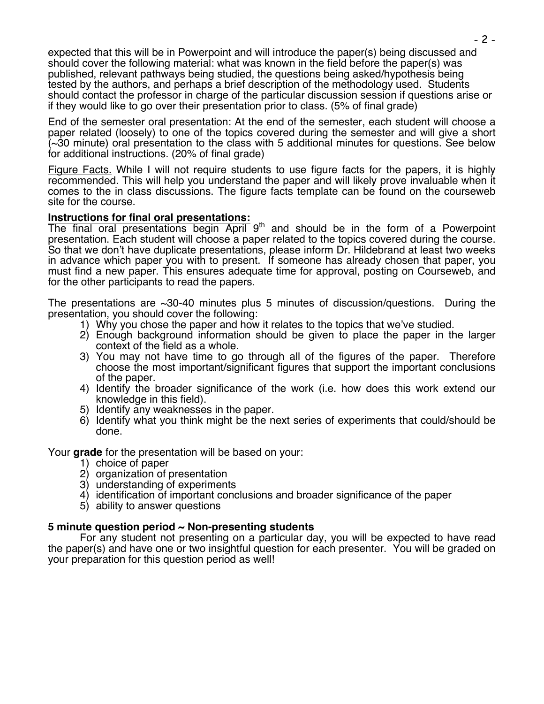expected that this will be in Powerpoint and will introduce the paper(s) being discussed and should cover the following material: what was known in the field before the paper(s) was published, relevant pathways being studied, the questions being asked/hypothesis being tested by the authors, and perhaps a brief description of the methodology used. Students should contact the professor in charge of the particular discussion session if questions arise or if they would like to go over their presentation prior to class. (5% of final grade)

End of the semester oral presentation: At the end of the semester, each student will choose a paper related (loosely) to one of the topics covered during the semester and will give a short (~30 minute) oral presentation to the class with 5 additional minutes for questions. See below for additional instructions. (20% of final grade)

Figure Facts. While I will not require students to use figure facts for the papers, it is highly recommended. This will help you understand the paper and will likely prove invaluable when it comes to the in class discussions. The figure facts template can be found on the courseweb site for the course.

## **Instructions for final oral presentations:**

The final oral presentations begin April 9<sup>th</sup> and should be in the form of a Powerpoint presentation. Each student will choose a paper related to the topics covered during the course. So that we don't have duplicate presentations, please inform Dr. Hildebrand at least two weeks in advance which paper you with to present. If someone has already chosen that paper, you must find a new paper. This ensures adequate time for approval, posting on Courseweb, and for the other participants to read the papers.

The presentations are ~30-40 minutes plus 5 minutes of discussion/questions. During the presentation, you should cover the following:

- 1) Why you chose the paper and how it relates to the topics that we've studied.
- 2) Enough background information should be given to place the paper in the larger context of the field as a whole.
- 3) You may not have time to go through all of the figures of the paper. Therefore choose the most important/significant figures that support the important conclusions of the paper.
- 4) Identify the broader significance of the work (i.e. how does this work extend our knowledge in this field).
- 5) Identify any weaknesses in the paper.
- 6) Identify what you think might be the next series of experiments that could/should be done.

Your **grade** for the presentation will be based on your:

- 1) choice of paper
- 2) organization of presentation
- 3) understanding of experiments
- 4) identification of important conclusions and broader significance of the paper
- 5) ability to answer questions

## **5 minute question period ~ Non-presenting students**

For any student not presenting on a particular day, you will be expected to have read the paper(s) and have one or two insightful question for each presenter. You will be graded on your preparation for this question period as well!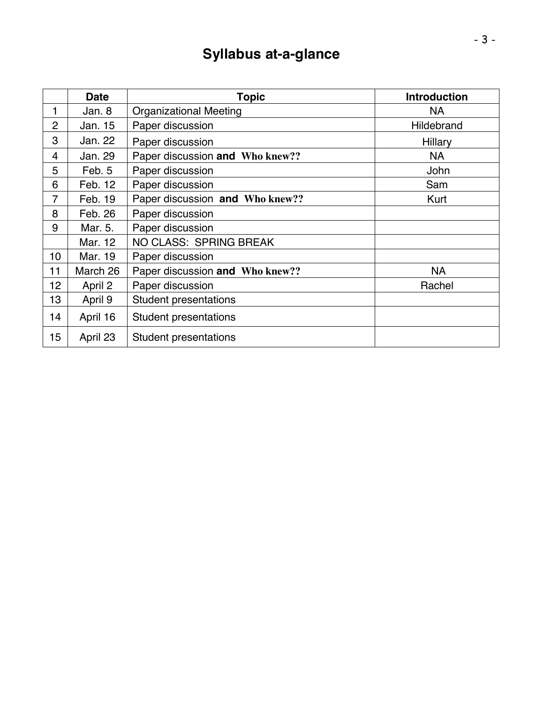# **Syllabus at-a-glance**

|                | <b>Date</b> | <b>Topic</b>                    | <b>Introduction</b> |
|----------------|-------------|---------------------------------|---------------------|
| 1              | Jan. 8      | <b>Organizational Meeting</b>   | <b>NA</b>           |
| $\overline{2}$ | Jan. 15     | Paper discussion                | Hildebrand          |
| 3              | Jan. 22     | Paper discussion                | <b>Hillary</b>      |
| 4              | Jan. 29     | Paper discussion and Who knew?? | NA                  |
| 5              | Feb. 5      | Paper discussion                | <b>John</b>         |
| 6              | Feb. 12     | Paper discussion                | Sam                 |
| 7              | Feb. 19     | Paper discussion and Who knew?? | Kurt                |
| 8              | Feb. 26     | Paper discussion                |                     |
| 9              | Mar. 5.     | Paper discussion                |                     |
|                | Mar. 12     | <b>NO CLASS: SPRING BREAK</b>   |                     |
| 10             | Mar. 19     | Paper discussion                |                     |
| 11             | March 26    | Paper discussion and Who knew?? | <b>NA</b>           |
| 12             | April 2     | Paper discussion                | Rachel              |
| 13             | April 9     | <b>Student presentations</b>    |                     |
| 14             | April 16    | <b>Student presentations</b>    |                     |
| 15             | April 23    | <b>Student presentations</b>    |                     |